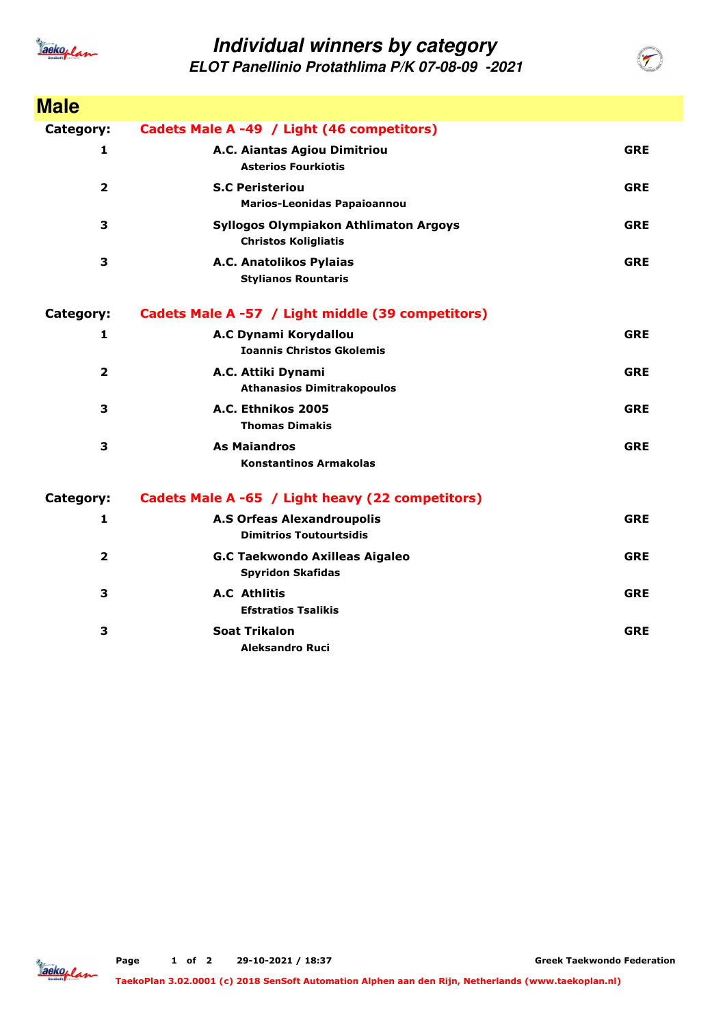

## **Individual winners by category**

**ELOT Panellinio Protathlima P/K 07-08-09 -2021**

| <b>Male</b>    |                                                                             |            |
|----------------|-----------------------------------------------------------------------------|------------|
| Category:      | Cadets Male A -49 / Light (46 competitors)                                  |            |
| 1              | A.C. Aiantas Agiou Dimitriou<br><b>Asterios Fourkiotis</b>                  | <b>GRE</b> |
| $\overline{2}$ | <b>S.C Peristeriou</b><br><b>Marios-Leonidas Papaioannou</b>                | <b>GRE</b> |
| 3              | <b>Syllogos Olympiakon Athlimaton Argoys</b><br><b>Christos Koligliatis</b> | <b>GRE</b> |
| 3              | A.C. Anatolikos Pylaias<br><b>Stylianos Rountaris</b>                       | <b>GRE</b> |
| Category:      | Cadets Male A -57 / Light middle (39 competitors)                           |            |
| 1              | A.C Dynami Korydallou<br><b>Ioannis Christos Gkolemis</b>                   | <b>GRE</b> |
| $\mathbf{2}$   | A.C. Attiki Dynami<br><b>Athanasios Dimitrakopoulos</b>                     | <b>GRE</b> |
| 3              | A.C. Ethnikos 2005<br><b>Thomas Dimakis</b>                                 | <b>GRE</b> |
| 3              | <b>As Maiandros</b><br><b>Konstantinos Armakolas</b>                        | <b>GRE</b> |
| Category:      | Cadets Male A -65 / Light heavy (22 competitors)                            |            |
| $\mathbf{1}$   | <b>A.S Orfeas Alexandroupolis</b><br><b>Dimitrios Toutourtsidis</b>         | <b>GRE</b> |
| $\overline{2}$ | <b>G.C Taekwondo Axilleas Aigaleo</b><br><b>Spyridon Skafidas</b>           | <b>GRE</b> |
| 3              | <b>A.C</b> Athlitis<br><b>Efstratios Tsalikis</b>                           | <b>GRE</b> |
| 3              | <b>Soat Trikalon</b><br><b>Aleksandro Ruci</b>                              | <b>GRE</b> |